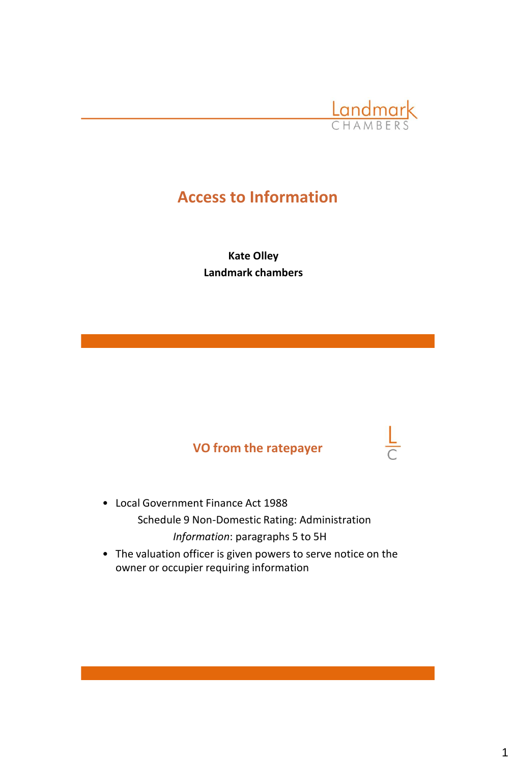

 $\frac{L}{C}$ 

# **Access to Information**

**Kate Olley Landmark chambers**

## **VO from the ratepayer**

- Local Government Finance Act 1988 Schedule 9 Non-Domestic Rating: Administration *Information*: paragraphs 5 to 5H
- The valuation officer is given powers to serve notice on the owner or occupier requiring information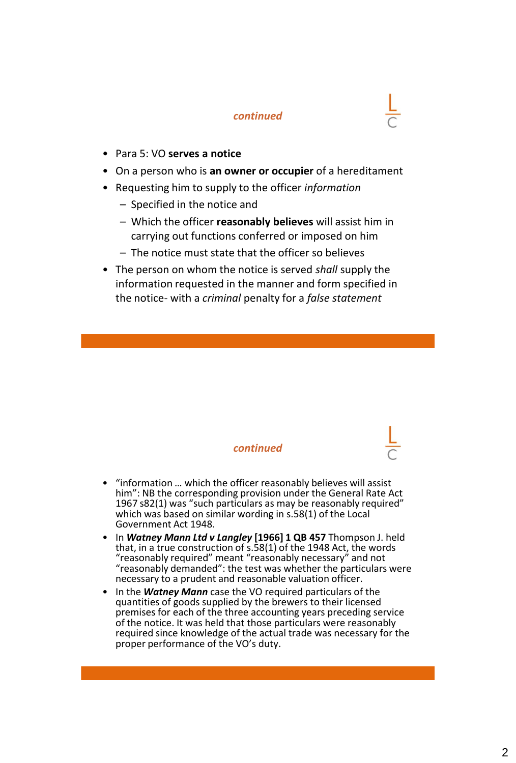- Para 5: VO **serves a notice**
- On a person who is **an owner or occupier** of a hereditament
- Requesting him to supply to the officer *information*
	- Specified in the notice and
	- Which the officer **reasonably believes** will assist him in carrying out functions conferred or imposed on him
	- The notice must state that the officer so believes
- The person on whom the notice is served *shall* supply the information requested in the manner and form specified in the notice- with a *criminal* penalty for a *false statement*

- "information … which the officer reasonably believes will assist him": NB the corresponding provision under the General Rate Act 1967 s82(1) was "such particulars as may be reasonably required" which was based on similar wording in s.58(1) of the Local Government Act 1948.
- In *Watney Mann Ltd v Langley* **[1966] 1 QB 457** Thompson J. held that, in a true construction of s.58(1) of the 1948 Act, the words "reasonably required" meant "reasonably necessary" and not "reasonably demanded": the test was whether the particulars were necessary to a prudent and reasonable valuation officer.
- In the *Watney Mann* case the VO required particulars of the quantities of goods supplied by the brewers to their licensed premises for each of the three accounting years preceding service of the notice. It was held that those particulars were reasonably required since knowledge of the actual trade was necessary for the proper performance of the VO's duty.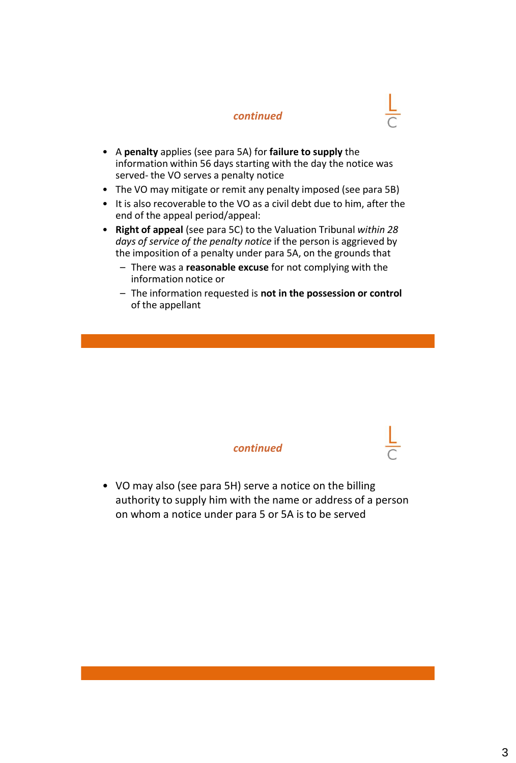- A **penalty** applies (see para 5A) for **failure to supply** the information within 56 days starting with the day the notice was served- the VO serves a penalty notice
- The VO may mitigate or remit any penalty imposed (see para 5B)
- It is also recoverable to the VO as a civil debt due to him, after the end of the appeal period/appeal:
- **Right of appeal** (see para 5C) to the Valuation Tribunal *within 28 days of service of the penalty notice* if the person is aggrieved by the imposition of a penalty under para 5A, on the grounds that
	- There was a **reasonable excuse** for not complying with the information notice or
	- The information requested is **not in the possession or control** of the appellant

#### *continued*

• VO may also (see para 5H) serve a notice on the billing authority to supply him with the name or address of a person on whom a notice under para 5 or 5A is to be served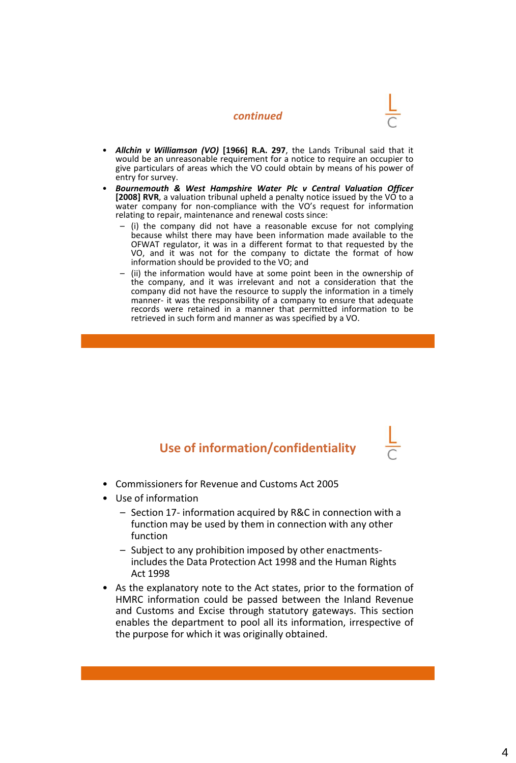- 
- *Allchin v Williamson (VO)* **[1966] R.A. 297**, the Lands Tribunal said that it would be an unreasonable requirement for a notice to require an occupier to give particulars of areas which the VO could obtain by means of his power of entry for survey.
- *Bournemouth & West Hampshire Water Plc v Central Valuation Officer* **[2008] RVR**, a valuation tribunal upheld a penalty notice issued by the VO to a water company for non-compliance with the VO's request for information relating to repair, maintenance and renewal costs since:
	- (i) the company did not have a reasonable excuse for not complying because whilst there may have been information made available to the OFWAT regulator, it was in a different format to that requested by the VO, and it was not for the company to dictate the format of how information should be provided to the VO; and
	- (ii) the information would have at some point been in the ownership of the company, and it was irrelevant and not a consideration that the company did not have the resource to supply the information in a timely manner- it was the responsibility of a company to ensure that adequate records were retained in a manner that permitted information to be retrieved in such form and manner as was specified by a VO.

## **Use of information/confidentiality**

- Commissioners for Revenue and Customs Act 2005
- Use of information
	- Section 17- information acquired by R&C in connection with a function may be used by them in connection with any other function
	- Subject to any prohibition imposed by other enactmentsincludes the Data Protection Act 1998 and the Human Rights Act 1998
- As the explanatory note to the Act states, prior to the formation of HMRC information could be passed between the Inland Revenue and Customs and Excise through statutory gateways. This section enables the department to pool all its information, irrespective of the purpose for which it was originally obtained.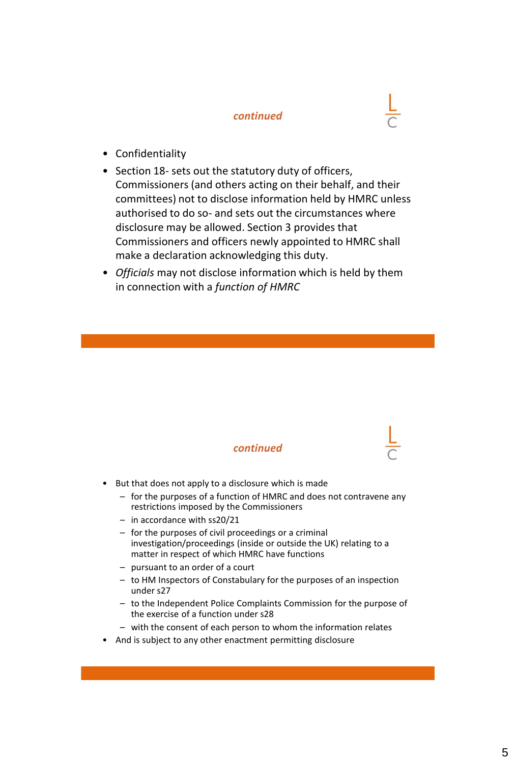- Confidentiality
- Section 18- sets out the statutory duty of officers, Commissioners (and others acting on their behalf, and their committees) not to disclose information held by HMRC unless authorised to do so- and sets out the circumstances where disclosure may be allowed. Section 3 provides that Commissioners and officers newly appointed to HMRC shall make a declaration acknowledging this duty.
- *Officials* may not disclose information which is held by them in connection with a *function of HMRC*

- But that does not apply to a disclosure which is made
	- for the purposes of a function of HMRC and does not contravene any restrictions imposed by the Commissioners
	- in accordance with ss20/21
	- for the purposes of civil proceedings or a criminal investigation/proceedings (inside or outside the UK) relating to a matter in respect of which HMRC have functions
	- pursuant to an order of a court
	- to HM Inspectors of Constabulary for the purposes of an inspection under s27
	- to the Independent Police Complaints Commission for the purpose of the exercise of a function under s28
	- with the consent of each person to whom the information relates
- And is subject to any other enactment permitting disclosure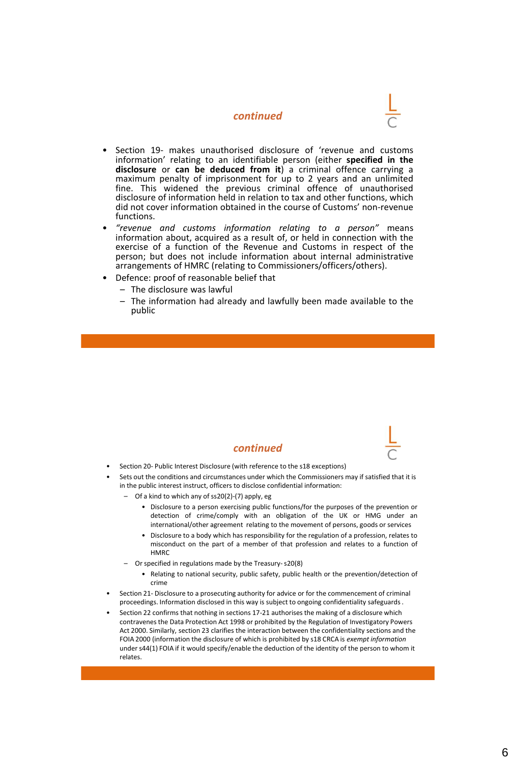- 
- Section 19- makes unauthorised disclosure of 'revenue and customs information' relating to an identifiable person (either **specified in the disclosure** or **can be deduced from it**) a criminal offence carrying a maximum penalty of imprisonment for up to 2 years and an unlimited fine. This widened the previous criminal offence of unauthorised disclosure of information held in relation to tax and other functions, which did not cover information obtained in the course of Customs' non-revenue functions.
- *"revenue and customs information relating to a person"* means information about, acquired as a result of, or held in connection with the exercise of a function of the Revenue and Customs in respect of the person; but does not include information about internal administrative arrangements of HMRC (relating to Commissioners/officers/others).
- Defence: proof of reasonable belief that
	- The disclosure was lawful
	- The information had already and lawfully been made available to the public

- Section 20- Public Interest Disclosure (with reference to the s18 exceptions)
- Sets out the conditions and circumstances under which the Commissioners may if satisfied that it is in the public interest instruct, officers to disclose confidential information:
	- Of a kind to which any of ss20(2)-(7) apply, eg
		- Disclosure to a person exercising public functions/for the purposes of the prevention or detection of crime/comply with an obligation of the UK or HMG under an international/other agreement relating to the movement of persons, goods or services
		- Disclosure to a body which has responsibility for the regulation of a profession, relates to misconduct on the part of a member of that profession and relates to a function of **HMRC**
	- Orspecified in regulations made by the Treasury-s20(8)
		- Relating to national security, public safety, public health or the prevention/detection of crime
- Section 21- Disclosure to a prosecuting authority for advice or for the commencement of criminal proceedings. Information disclosed in this way is subject to ongoing confidentiality safeguards .
- Section 22 confirms that nothing in sections 17-21 authorises the making of a disclosure which contravenes the Data Protection Act 1998 or prohibited by the Regulation of Investigatory Powers Act 2000. Similarly, section 23 clarifies the interaction between the confidentiality sections and the FOIA 2000 (information the disclosure of which is prohibited by s18 CRCA is *exempt information* under s44(1) FOIA if it would specify/enable the deduction of the identity of the person to whom it relates.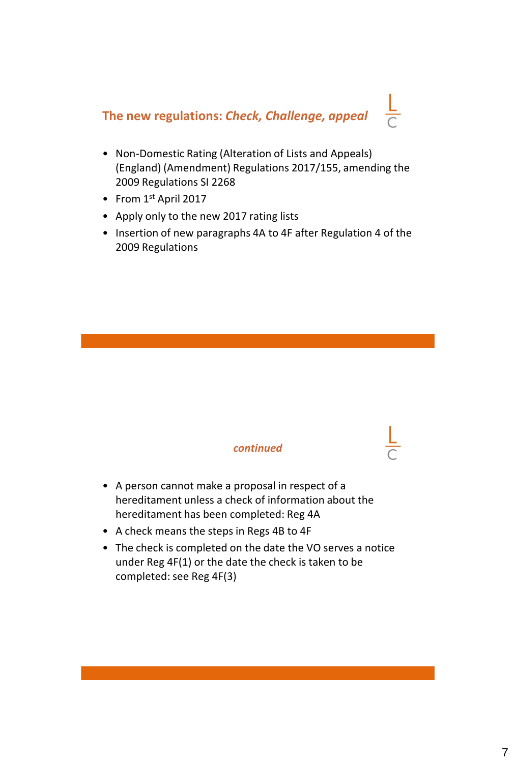## **The new regulations:** *Check, Challenge, appeal*

- Non-Domestic Rating (Alteration of Lists and Appeals) (England) (Amendment) Regulations 2017/155, amending the 2009 Regulations SI 2268
- From 1st April 2017
- Apply only to the new 2017 rating lists
- Insertion of new paragraphs 4A to 4F after Regulation 4 of the 2009 Regulations

- A person cannot make a proposal in respect of a hereditament unless a check of information about the hereditament has been completed: Reg 4A
- A check means the steps in Regs 4B to 4F
- The check is completed on the date the VO serves a notice under Reg 4F(1) or the date the check is taken to be completed: see Reg 4F(3)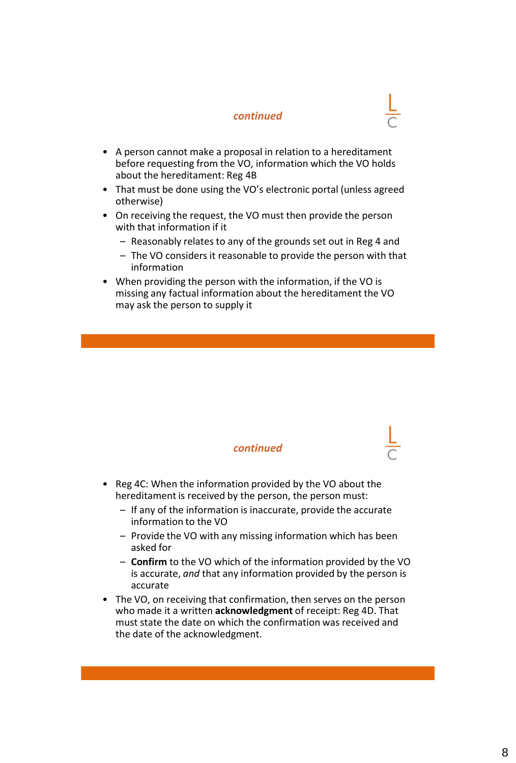- A person cannot make a proposal in relation to a hereditament before requesting from the VO, information which the VO holds about the hereditament: Reg 4B
- That must be done using the VO's electronic portal (unless agreed otherwise)
- On receiving the request, the VO must then provide the person with that information if it
	- Reasonably relates to any of the grounds set out in Reg 4 and
	- The VO considers it reasonable to provide the person with that information
- When providing the person with the information, if the VO is missing any factual information about the hereditament the VO may ask the person to supply it

- Reg 4C: When the information provided by the VO about the hereditament is received by the person, the person must:
	- If any of the information is inaccurate, provide the accurate information to the VO
	- Provide the VO with any missing information which has been asked for
	- **Confirm** to the VO which of the information provided by the VO is accurate, *and* that any information provided by the person is accurate
- The VO, on receiving that confirmation, then serves on the person who made it a written **acknowledgment** of receipt: Reg 4D. That must state the date on which the confirmation was received and the date of the acknowledgment.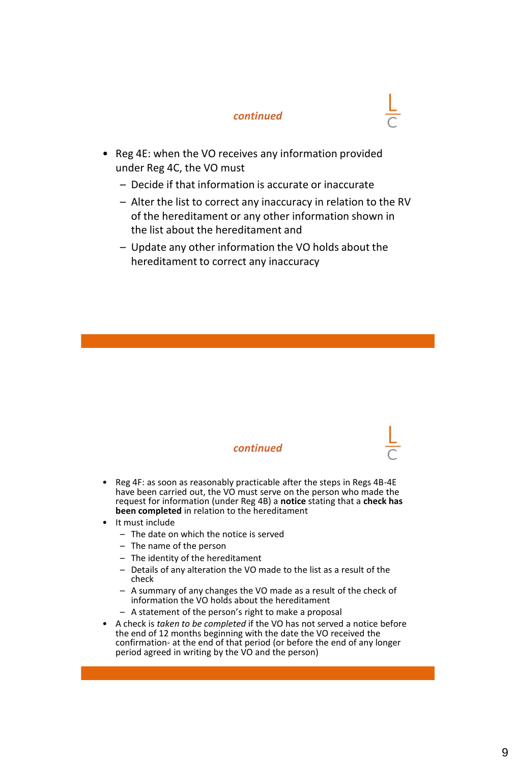- Reg 4E: when the VO receives any information provided under Reg 4C, the VO must
	- Decide if that information is accurate or inaccurate
	- Alter the list to correct any inaccuracy in relation to the RV of the hereditament or any other information shown in the list about the hereditament and
	- Update any other information the VO holds about the hereditament to correct any inaccuracy

- Reg 4F: as soon as reasonably practicable after the steps in Regs 4B-4E have been carried out, the VO must serve on the person who made the request for information (under Reg 4B) a **notice** stating that a **check has been completed** in relation to the hereditament
- It must include
	- The date on which the notice is served
	- The name of the person
	- The identity of the hereditament
	- Details of any alteration the VO made to the list as a result of the check
	- A summary of any changes the VO made as a result of the check of information the VO holds about the hereditament
	- A statement of the person's right to make a proposal
- A check is *taken to be completed* if the VO has not served a notice before the end of 12 months beginning with the date the VO received the confirmation- at the end of that period (or before the end of any longer period agreed in writing by the VO and the person)